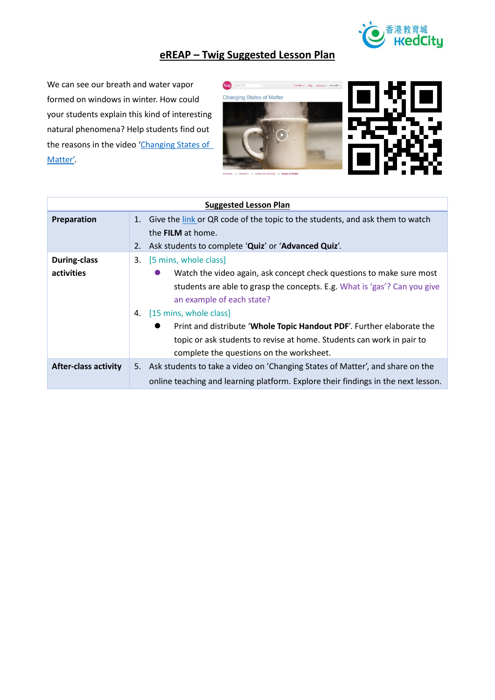

## **eREAP – Twig Suggested Lesson Plan**

We can see our breath and water vapor formed on windows in winter. How could your students explain this kind of interesting natural phenomena? Help students find out the reasons in the video 'Changing States of [Matter'.](https://www.twig-world.com/film/changing-states-of-matter-1472/)





| <b>Suggested Lesson Plan</b> |                                                                                    |  |
|------------------------------|------------------------------------------------------------------------------------|--|
| Preparation                  | Give the link or QR code of the topic to the students, and ask them to watch<br>1. |  |
|                              | the <b>FILM</b> at home.                                                           |  |
|                              | Ask students to complete 'Quiz' or 'Advanced Quiz'.<br>2.                          |  |
| <b>During-class</b>          | [5 mins, whole class]<br>3.                                                        |  |
| activities                   | Watch the video again, ask concept check questions to make sure most               |  |
|                              | students are able to grasp the concepts. E.g. What is 'gas'? Can you give          |  |
|                              | an example of each state?                                                          |  |
|                              | [15 mins, whole class]<br>4.                                                       |  |
|                              | Print and distribute 'Whole Topic Handout PDF'. Further elaborate the<br>$\bullet$ |  |
|                              | topic or ask students to revise at home. Students can work in pair to              |  |
|                              | complete the questions on the worksheet.                                           |  |
| <b>After-class activity</b>  | 5. Ask students to take a video on 'Changing States of Matter', and share on the   |  |
|                              | online teaching and learning platform. Explore their findings in the next lesson.  |  |